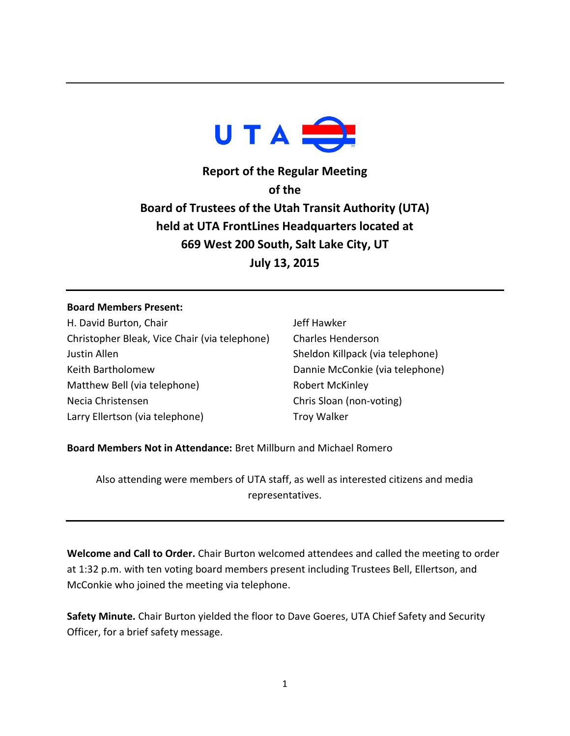

**Report of the Regular Meeting of the Board of Trustees of the Utah Transit Authority (UTA) held at UTA FrontLines Headquarters located at 669 West 200 South, Salt Lake City, UT July 13, 2015**

## **Board Members Present:**

H. David Burton, Chair Christopher Bleak, Vice Chair (via telephone) Justin Allen Keith Bartholomew Matthew Bell (via telephone) Necia Christensen Larry Ellertson (via telephone)

Jeff Hawker Charles Henderson Sheldon Killpack (via telephone) Dannie McConkie (via telephone) Robert McKinley Chris Sloan (non-voting) Troy Walker

## **Board Members Not in Attendance:** Bret Millburn and Michael Romero

Also attending were members of UTA staff, as well as interested citizens and media representatives.

**Welcome and Call to Order.** Chair Burton welcomed attendees and called the meeting to order at 1:32 p.m. with ten voting board members present including Trustees Bell, Ellertson, and McConkie who joined the meeting via telephone.

**Safety Minute.** Chair Burton yielded the floor to Dave Goeres, UTA Chief Safety and Security Officer, for a brief safety message.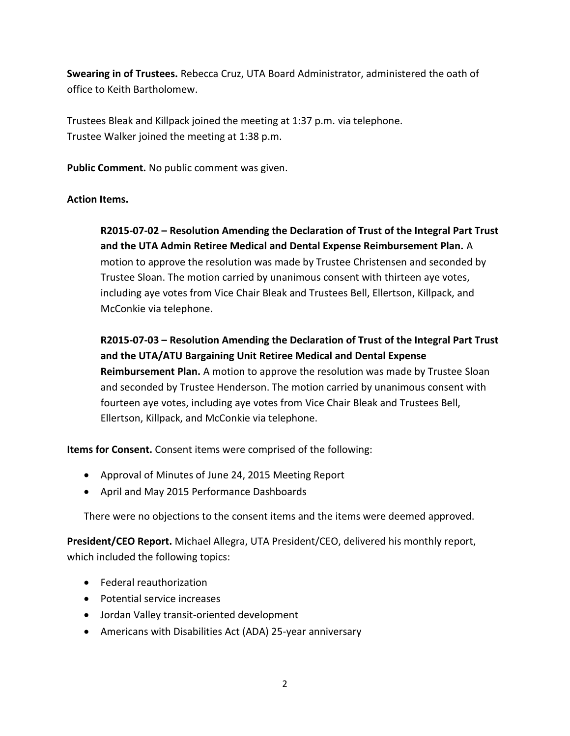**Swearing in of Trustees.** Rebecca Cruz, UTA Board Administrator, administered the oath of office to Keith Bartholomew.

Trustees Bleak and Killpack joined the meeting at 1:37 p.m. via telephone. Trustee Walker joined the meeting at 1:38 p.m.

**Public Comment.** No public comment was given.

## **Action Items.**

**R2015-07-02 – Resolution Amending the Declaration of Trust of the Integral Part Trust and the UTA Admin Retiree Medical and Dental Expense Reimbursement Plan.** A motion to approve the resolution was made by Trustee Christensen and seconded by Trustee Sloan. The motion carried by unanimous consent with thirteen aye votes, including aye votes from Vice Chair Bleak and Trustees Bell, Ellertson, Killpack, and McConkie via telephone.

**R2015-07-03 – Resolution Amending the Declaration of Trust of the Integral Part Trust and the UTA/ATU Bargaining Unit Retiree Medical and Dental Expense Reimbursement Plan.** A motion to approve the resolution was made by Trustee Sloan and seconded by Trustee Henderson. The motion carried by unanimous consent with fourteen aye votes, including aye votes from Vice Chair Bleak and Trustees Bell, Ellertson, Killpack, and McConkie via telephone.

**Items for Consent.** Consent items were comprised of the following:

- Approval of Minutes of June 24, 2015 Meeting Report
- April and May 2015 Performance Dashboards

There were no objections to the consent items and the items were deemed approved.

**President/CEO Report.** Michael Allegra, UTA President/CEO, delivered his monthly report, which included the following topics:

- Federal reauthorization
- Potential service increases
- Jordan Valley transit-oriented development
- Americans with Disabilities Act (ADA) 25-year anniversary